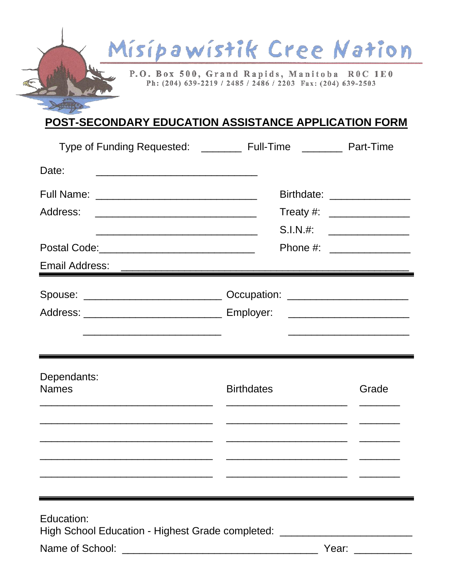

## POST-SECONDARY EDUCATION ASSISTANCE APPLICATION FORM

| Type of Funding Requested: __________ Full-Time ________                                                               |                                          | Part-Time                    |
|------------------------------------------------------------------------------------------------------------------------|------------------------------------------|------------------------------|
| Date:<br><u> 1980 - Johann John Stone, mars eta bat eta bat eta bat eta bat ez arteko hamarka</u>                      |                                          |                              |
|                                                                                                                        |                                          | Birthdate: _________________ |
| Address:                                                                                                               |                                          |                              |
| <u> 1989 - Johann John Stone, mars et al. 1989 - John Stone, mars et al. 1989 - John Stone, mars et al. 1989 - Joh</u> | $S.I.N.$ #:<br>Phone #: ________________ |                              |
|                                                                                                                        |                                          |                              |
| Email Address:                                                                                                         |                                          |                              |
|                                                                                                                        |                                          |                              |
|                                                                                                                        |                                          |                              |
|                                                                                                                        |                                          |                              |
|                                                                                                                        |                                          |                              |
| Dependants:                                                                                                            |                                          |                              |
| <b>Names</b>                                                                                                           | <b>Birthdates</b>                        | Grade                        |
|                                                                                                                        |                                          |                              |
|                                                                                                                        |                                          |                              |
|                                                                                                                        |                                          |                              |
|                                                                                                                        |                                          |                              |
|                                                                                                                        |                                          |                              |
| Education:                                                                                                             |                                          |                              |
| High School Education - Highest Grade completed: _______________________________                                       |                                          |                              |
| Name of School:                                                                                                        |                                          | Year:                        |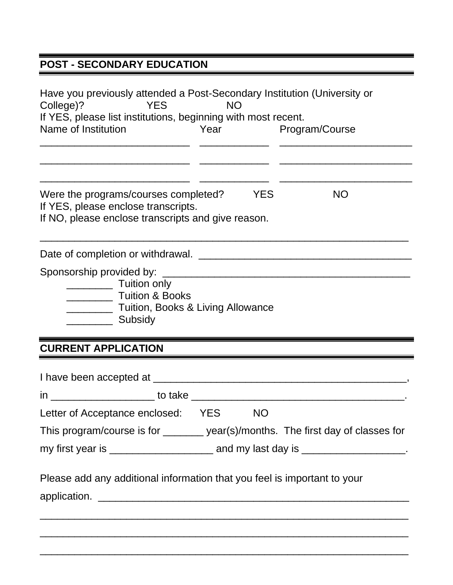## **POST - SECONDARY EDUCATION**

| Have you previously attended a Post-Secondary Institution (University or<br><b>YES</b><br>College)?<br>If YES, please list institutions, beginning with most recent.<br>Name of Institution       | <b>NO</b> | Year      | Program/Course |  |
|---------------------------------------------------------------------------------------------------------------------------------------------------------------------------------------------------|-----------|-----------|----------------|--|
| Were the programs/courses completed?<br>If YES, please enclose transcripts.<br>If NO, please enclose transcripts and give reason.                                                                 |           | YES       | <b>NO</b>      |  |
|                                                                                                                                                                                                   |           |           |                |  |
| Sponsorship provided by:<br>____________________ Tuition only<br><b>Tuition &amp; Books</b><br><b>EXAMPLE 2018 Tuition, Books &amp; Living Allowance</b><br>Subsidy<br><b>CURRENT APPLICATION</b> |           |           |                |  |
|                                                                                                                                                                                                   |           |           |                |  |
| in _______________________ to take ____                                                                                                                                                           |           |           |                |  |
| Letter of Acceptance enclosed: YES                                                                                                                                                                |           | <b>NO</b> |                |  |
| This program/course is for _______ year(s)/months. The first day of classes for                                                                                                                   |           |           |                |  |
|                                                                                                                                                                                                   |           |           |                |  |
| Please add any additional information that you feel is important to your                                                                                                                          |           |           |                |  |